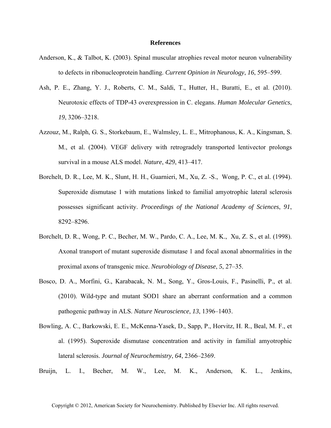## **References**

- Anderson, K., & Talbot, K. (2003). Spinal muscular atrophies reveal motor neuron vulnerability to defects in ribonucleoprotein handling. *Current Opinion in Neurology*, *16*, 595–599.
- Ash, P. E., Zhang, Y. J., Roberts, C. M., Saldi, T., Hutter, H., Buratti, E., et al. (2010). Neurotoxic effects of TDP-43 overexpression in C. elegans. *Human Molecular Genetics*, *19*, 3206–3218.
- Azzouz, M., Ralph, G. S., Storkebaum, E., Walmsley, L. E., Mitrophanous, K. A., Kingsman, S. M., et al. (2004). VEGF delivery with retrogradely transported lentivector prolongs survival in a mouse ALS model. *Nature*, *429*, 413–417.
- Borchelt, D. R., Lee, M. K., Slunt, H. H., Guarnieri, M., Xu, Z. -S., Wong, P. C., et al. (1994). Superoxide dismutase 1 with mutations linked to familial amyotrophic lateral sclerosis possesses significant activity. *Proceedings of the National Academy of Sciences*, *91*, 8292–8296.
- Borchelt, D. R., Wong, P. C., Becher, M. W., Pardo, C. A., Lee, M. K., Xu, Z. S., et al. (1998). Axonal transport of mutant superoxide dismutase 1 and focal axonal abnormalities in the proximal axons of transgenic mice. *Neurobiology of Disease*, *5*, 27–35.
- Bosco, D. A., Morfini, G., Karabacak, N. M., Song, Y., Gros-Louis, F., Pasinelli, P., et al. (2010). Wild-type and mutant SOD1 share an aberrant conformation and a common pathogenic pathway in ALS. *Nature Neuroscience*, *13*, 1396–1403.
- Bowling, A. C., Barkowski, E. E., McKenna-Yasek, D., Sapp, P., Horvitz, H. R., Beal, M. F., et al. (1995). Superoxide dismutase concentration and activity in familial amyotrophic lateral sclerosis. *Journal of Neurochemistry*, *64*, 2366–2369.
- Bruijn, L. I., Becher, M. W., Lee, M. K., Anderson, K. L., Jenkins,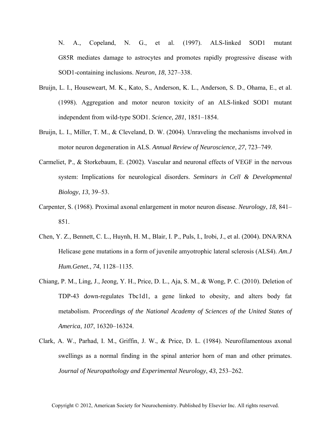N. A., Copeland, N. G., et al. (1997). ALS-linked SOD1 mutant G85R mediates damage to astrocytes and promotes rapidly progressive disease with SOD1-containing inclusions. *Neuron*, *18*, 327–338.

- Bruijn, L. I., Houseweart, M. K., Kato, S., Anderson, K. L., Anderson, S. D., Ohama, E., et al. (1998). Aggregation and motor neuron toxicity of an ALS-linked SOD1 mutant independent from wild-type SOD1. *Science*, *281*, 1851–1854.
- Bruijn, L. I., Miller, T. M., & Cleveland, D. W. (2004). Unraveling the mechanisms involved in motor neuron degeneration in ALS. *Annual Review of Neuroscience*, *27*, 723–749.
- Carmeliet, P., & Storkebaum, E. (2002). Vascular and neuronal effects of VEGF in the nervous system: Implications for neurological disorders. *Seminars in Cell & Developmental Biology*, *13*, 39–53.
- Carpenter, S. (1968). Proximal axonal enlargement in motor neuron disease. *Neurology*, *18*, 841– 851.
- Chen, Y. Z., Bennett, C. L., Huynh, H. M., Blair, I. P., Puls, I., Irobi, J., et al. (2004). DNA/RNA Helicase gene mutations in a form of juvenile amyotrophic lateral sclerosis (ALS4). *Am.J Hum.Genet.*, *74*, 1128–1135.
- Chiang, P. M., Ling, J., Jeong, Y. H., Price, D. L., Aja, S. M., & Wong, P. C. (2010). Deletion of TDP-43 down-regulates Tbc1d1, a gene linked to obesity, and alters body fat metabolism. *Proceedings of the National Academy of Sciences of the United States of America*, *107*, 16320–16324.
- Clark, A. W., Parhad, I. M., Griffin, J. W., & Price, D. L. (1984). Neurofilamentous axonal swellings as a normal finding in the spinal anterior horn of man and other primates. *Journal of Neuropathology and Experimental Neurology*, *43*, 253–262.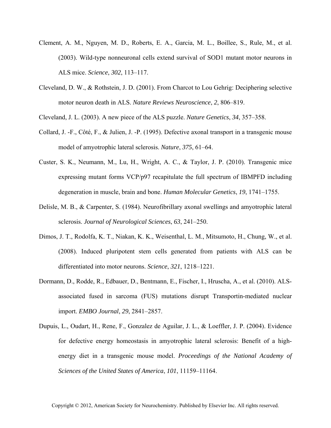- Clement, A. M., Nguyen, M. D., Roberts, E. A., Garcia, M. L., Boillee, S., Rule, M., et al. (2003). Wild-type nonneuronal cells extend survival of SOD1 mutant motor neurons in ALS mice. *Science*, *302*, 113–117.
- Cleveland, D. W., & Rothstein, J. D. (2001). From Charcot to Lou Gehrig: Deciphering selective motor neuron death in ALS. *Nature Reviews Neuroscience*, *2*, 806–819.
- Cleveland, J. L. (2003). A new piece of the ALS puzzle. *Nature Genetics*, *34*, 357–358.
- Collard, J. -F., Côté, F., & Julien, J. -P. (1995). Defective axonal transport in a transgenic mouse model of amyotrophic lateral sclerosis. *Nature*, *375*, 61–64.
- Custer, S. K., Neumann, M., Lu, H., Wright, A. C., & Taylor, J. P. (2010). Transgenic mice expressing mutant forms VCP/p97 recapitulate the full spectrum of IBMPFD including degeneration in muscle, brain and bone. *Human Molecular Genetics*, *19*, 1741–1755.
- Delisle, M. B., & Carpenter, S. (1984). Neurofibrillary axonal swellings and amyotrophic lateral sclerosis. *Journal of Neurological Sciences*, *63*, 241–250.
- Dimos, J. T., Rodolfa, K. T., Niakan, K. K., Weisenthal, L. M., Mitsumoto, H., Chung, W., et al. (2008). Induced pluripotent stem cells generated from patients with ALS can be differentiated into motor neurons. *Science*, *321*, 1218–1221.
- Dormann, D., Rodde, R., Edbauer, D., Bentmann, E., Fischer, I., Hruscha, A., et al. (2010). ALSassociated fused in sarcoma (FUS) mutations disrupt Transportin-mediated nuclear import. *EMBO Journal*, *29*, 2841–2857.
- Dupuis, L., Oudart, H., Rene, F., Gonzalez de Aguilar, J. L., & Loeffler, J. P. (2004). Evidence for defective energy homeostasis in amyotrophic lateral sclerosis: Benefit of a highenergy diet in a transgenic mouse model. *Proceedings of the National Academy of Sciences of the United States of America*, *101*, 11159–11164.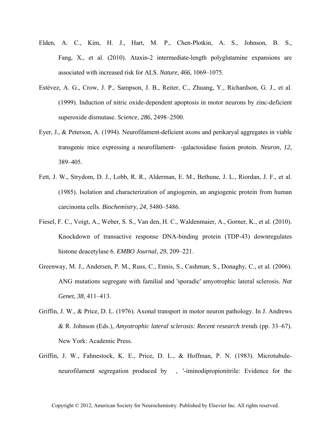- Elden, A. C., Kim, H. J., Hart, M. P., Chen-Plotkin, A. S., Johnson, B. S., Fang, X., et al. (2010). Ataxin-2 intermediate-length polyglutamine expansions are associated with increased risk for ALS. *Nature*, *466*, 1069–1075.
- Estévez, A. G., Crow, J. P., Sampson, J. B., Reiter, C., Zhuang, Y., Richardson, G. J., et al. (1999). Induction of nitric oxide-dependent apoptosis in motor neurons by zinc-deficient superoxide dismutase. *Science*, *286*, 2498–2500.
- Eyer, J., & Peterson, A. (1994). Neurofilament-deficient axons and perikaryal aggregates in viable transgenic mice expressing a neurofilament--galactosidase fusion protein. *Neuron*, *12*, 389–405.
- Fett, J. W., Strydom, D. J., Lobb, R. R., Alderman, E. M., Bethune, J. L., Riordan, J. F., et al. (1985). Isolation and characterization of angiogenin, an angiogenic protein from human carcinoma cells. *Biochemistry*, *24*, 5480–5486.
- Fiesel, F. C., Voigt, A., Weber, S. S., Van den, H. C., Waldenmaier, A., Gorner, K., et al. (2010). Knockdown of transactive response DNA-binding protein (TDP-43) downregulates histone deacetylase 6. *EMBO Journal*, *29*, 209–221.
- Greenway, M. J., Andersen, P. M., Russ, C., Ennis, S., Cashman, S., Donaghy, C., et al. (2006). ANG mutations segregate with familial and 'sporadic' amyotrophic lateral sclerosis. *Nat Genet*, *38*, 411–413.
- Griffin, J. W., & Price, D. L. (1976). Axonal transport in motor neuron pathology. In J. Andrews & R. Johnson (Eds.), *Amyotrophic lateral sclerosis: Recent research trends* (pp. 33–67). New York: Academic Press.
- Griffin, J. W., Fahnestock, K. E., Price, D. L., & Hoffman, P. N. (1983). Microtubuleneurofilament segregation produced by ,'-iminodipropionitrile: Evidence for the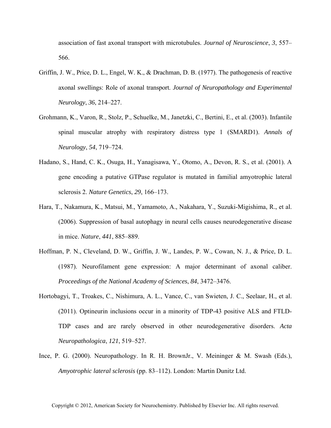association of fast axonal transport with microtubules. *Journal of Neuroscience*, *3*, 557– 566.

- Griffin, J. W., Price, D. L., Engel, W. K., & Drachman, D. B. (1977). The pathogenesis of reactive axonal swellings: Role of axonal transport. *Journal of Neuropathology and Experimental Neurology*, *36*, 214–227.
- Grohmann, K., Varon, R., Stolz, P., Schuelke, M., Janetzki, C., Bertini, E., et al. (2003). Infantile spinal muscular atrophy with respiratory distress type 1 (SMARD1). *Annals of Neurology*, *54*, 719–724.
- Hadano, S., Hand, C. K., Osuga, H., Yanagisawa, Y., Otomo, A., Devon, R. S., et al. (2001). A gene encoding a putative GTPase regulator is mutated in familial amyotrophic lateral sclerosis 2. *Nature Genetics*, *29*, 166–173.
- Hara, T., Nakamura, K., Matsui, M., Yamamoto, A., Nakahara, Y., Suzuki-Migishima, R., et al. (2006). Suppression of basal autophagy in neural cells causes neurodegenerative disease in mice. *Nature*, *441*, 885–889.
- Hoffman, P. N., Cleveland, D. W., Griffin, J. W., Landes, P. W., Cowan, N. J., & Price, D. L. (1987). Neurofilament gene expression: A major determinant of axonal caliber. *Proceedings of the National Academy of Sciences*, *84*, 3472–3476.
- Hortobagyi, T., Troakes, C., Nishimura, A. L., Vance, C., van Swieten, J. C., Seelaar, H., et al. (2011). Optineurin inclusions occur in a minority of TDP-43 positive ALS and FTLD-TDP cases and are rarely observed in other neurodegenerative disorders. *Acta Neuropathologica*, *121*, 519–527.
- Ince, P. G. (2000). Neuropathology. In R. H. BrownJr., V. Meininger & M. Swash (Eds.), *Amyotrophic lateral sclerosis* (pp. 83–112). London: Martin Dunitz Ltd.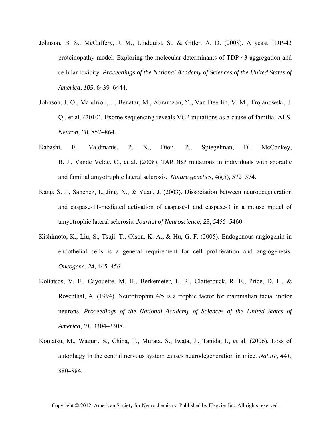- Johnson, B. S., McCaffery, J. M., Lindquist, S., & Gitler, A. D. (2008). A yeast TDP-43 proteinopathy model: Exploring the molecular determinants of TDP-43 aggregation and cellular toxicity. *Proceedings of the National Academy of Sciences of the United States of America*, *105*, 6439–6444.
- Johnson, J. O., Mandrioli, J., Benatar, M., Abramzon, Y., Van Deerlin, V. M., Trojanowski, J. Q., et al. (2010). Exome sequencing reveals VCP mutations as a cause of familial ALS. *Neuron*, *68*, 857–864.
- Kabashi, E., Valdmanis, P. N., Dion, P., Spiegelman, D., McConkey, B. J., Vande Velde, C., et al. (2008). TARDBP mutations in individuals with sporadic and familial amyotrophic lateral sclerosis. *Nature genetics*, *40*(5), 572–574.
- Kang, S. J., Sanchez, I., Jing, N., & Yuan, J. (2003). Dissociation between neurodegeneration and caspase-11-mediated activation of caspase-1 and caspase-3 in a mouse model of amyotrophic lateral sclerosis. *Journal of Neuroscience*, *23*, 5455–5460.
- Kishimoto, K., Liu, S., Tsuji, T., Olson, K. A., & Hu, G. F. (2005). Endogenous angiogenin in endothelial cells is a general requirement for cell proliferation and angiogenesis. *Oncogene*, *24*, 445–456.
- Koliatsos, V. E., Cayouette, M. H., Berkemeier, L. R., Clatterbuck, R. E., Price, D. L., & Rosenthal, A. (1994). Neurotrophin 4*/*5 is a trophic factor for mammalian facial motor neurons. *Proceedings of the National Academy of Sciences of the United States of America*, *91*, 3304–3308.
- Komatsu, M., Waguri, S., Chiba, T., Murata, S., Iwata, J., Tanida, I., et al. (2006). Loss of autophagy in the central nervous system causes neurodegeneration in mice. *Nature*, *441*, 880–884.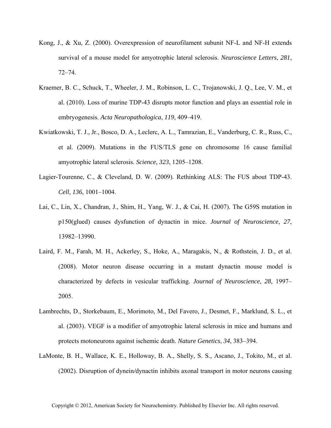- Kong, J., & Xu, Z. (2000). Overexpression of neurofilament subunit NF-L and NF-H extends survival of a mouse model for amyotrophic lateral sclerosis. *Neuroscience Letters*, *281*, 72–74.
- Kraemer, B. C., Schuck, T., Wheeler, J. M., Robinson, L. C., Trojanowski, J. Q., Lee, V. M., et al. (2010). Loss of murine TDP-43 disrupts motor function and plays an essential role in embryogenesis. *Acta Neuropathologica*, *119*, 409–419.
- Kwiatkowski, T. J., Jr., Bosco, D. A., Leclerc, A. L., Tamrazian, E., Vanderburg, C. R., Russ, C., et al. (2009). Mutations in the FUS/TLS gene on chromosome 16 cause familial amyotrophic lateral sclerosis. *Science*, *323*, 1205–1208.
- Lagier-Tourenne, C., & Cleveland, D. W. (2009). Rethinking ALS: The FUS about TDP-43. *Cell*, *136*, 1001–1004.
- Lai, C., Lin, X., Chandran, J., Shim, H., Yang, W. J., & Cai, H. (2007). The G59S mutation in p150(glued) causes dysfunction of dynactin in mice. *Journal of Neuroscience*, *27*, 13982–13990.
- Laird, F. M., Farah, M. H., Ackerley, S., Hoke, A., Maragakis, N., & Rothstein, J. D., et al. (2008). Motor neuron disease occurring in a mutant dynactin mouse model is characterized by defects in vesicular trafficking. *Journal of Neuroscience*, *28*, 1997– 2005.
- Lambrechts, D., Storkebaum, E., Morimoto, M., Del Favero, J., Desmet, F., Marklund, S. L., et al. (2003). VEGF is a modifier of amyotrophic lateral sclerosis in mice and humans and protects motoneurons against ischemic death. *Nature Genetics*, *34*, 383–394.
- LaMonte, B. H., Wallace, K. E., Holloway, B. A., Shelly, S. S., Ascano, J., Tokito, M., et al. (2002). Disruption of dynein*/*dynactin inhibits axonal transport in motor neurons causing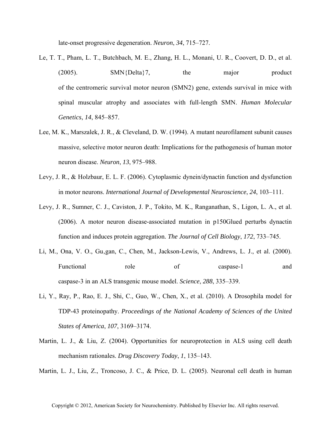late-onset progressive degeneration. *Neuron*, *34*, 715–727.

- Le, T. T., Pham, L. T., Butchbach, M. E., Zhang, H. L., Monani, U. R., Coovert, D. D., et al. (2005). SMN{Delta}7, the major product of the centromeric survival motor neuron (SMN2) gene, extends survival in mice with spinal muscular atrophy and associates with full-length SMN. *Human Molecular Genetics*, *14*, 845–857.
- Lee, M. K., Marszalek, J. R., & Cleveland, D. W. (1994). A mutant neurofilament subunit causes massive, selective motor neuron death: Implications for the pathogenesis of human motor neuron disease. *Neuron*, *13*, 975–988.
- Levy, J. R., & Holzbaur, E. L. F. (2006). Cytoplasmic dynein/dynactin function and dysfunction in motor neurons. *International Journal of Developmental Neuroscience*, *24*, 103–111.
- Levy, J. R., Sumner, C. J., Caviston, J. P., Tokito, M. K., Ranganathan, S., Ligon, L. A., et al. (2006). A motor neuron disease-associated mutation in p150Glued perturbs dynactin function and induces protein aggregation. *The Journal of Cell Biology*, *172*, 733–745.
- Li, M., Ona, V. O., Gu, gan, C., Chen, M., Jackson-Lewis, V., Andrews, L. J., et al. (2000). Functional role of caspase-1 and caspase-3 in an ALS transgenic mouse model. *Science*, *288*, 335–339.
- Li, Y., Ray, P., Rao, E. J., Shi, C., Guo, W., Chen, X., et al. (2010). A Drosophila model for TDP-43 proteinopathy. *Proceedings of the National Academy of Sciences of the United States of America*, *107*, 3169–3174.
- Martin, L. J., & Liu, Z. (2004). Opportunities for neuroprotection in ALS using cell death mechanism rationales. *Drug Discovery Today*, *1*, 135–143.

Martin, L. J., Liu, Z., Troncoso, J. C., & Price, D. L. (2005). Neuronal cell death in human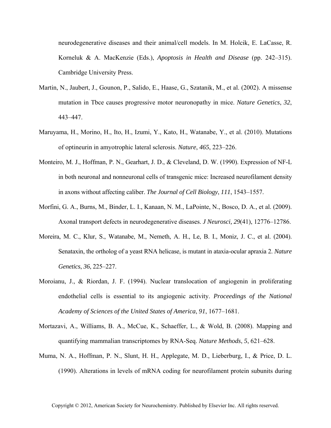neurodegenerative diseases and their animal/cell models. In M. Holcik, E. LaCasse, R. Korneluk & A. MacKenzie (Eds.), *Apoptosis in Health and Disease* (pp. 242–315). Cambridge University Press.

- Martin, N., Jaubert, J., Gounon, P., Salido, E., Haase, G., Szatanik, M., et al. (2002). A missense mutation in Tbce causes progressive motor neuronopathy in mice. *Nature Genetics*, *32*, 443–447.
- Maruyama, H., Morino, H., Ito, H., Izumi, Y., Kato, H., Watanabe, Y., et al. (2010). Mutations of optineurin in amyotrophic lateral sclerosis. *Nature*, *465*, 223–226.
- Monteiro, M. J., Hoffman, P. N., Gearhart, J. D., & Cleveland, D. W. (1990). Expression of NF-L in both neuronal and nonneuronal cells of transgenic mice: Increased neurofilament density in axons without affecting caliber. *The Journal of Cell Biology*, *111*, 1543–1557.
- Morfini, G. A., Burns, M., Binder, L. I., Kanaan, N. M., LaPointe, N., Bosco, D. A., et al. (2009). Axonal transport defects in neurodegenerative diseases. *J Neurosci, 29*(41), 12776–12786.
- Moreira, M. C., Klur, S., Watanabe, M., Nemeth, A. H., Le, B. I., Moniz, J. C., et al. (2004). Senataxin, the ortholog of a yeast RNA helicase, is mutant in ataxia-ocular apraxia 2. *Nature Genetics*, *36*, 225–227.
- Moroianu, J., & Riordan, J. F. (1994). Nuclear translocation of angiogenin in proliferating endothelial cells is essential to its angiogenic activity. *Proceedings of the National Academy of Sciences of the United States of America*, *91*, 1677–1681.
- Mortazavi, A., Williams, B. A., McCue, K., Schaeffer, L., & Wold, B. (2008). Mapping and quantifying mammalian transcriptomes by RNA-Seq. *Nature Methods*, *5*, 621–628.
- Muma, N. A., Hoffman, P. N., Slunt, H. H., Applegate, M. D., Lieberburg, I., & Price, D. L. (1990). Alterations in levels of mRNA coding for neurofilament protein subunits during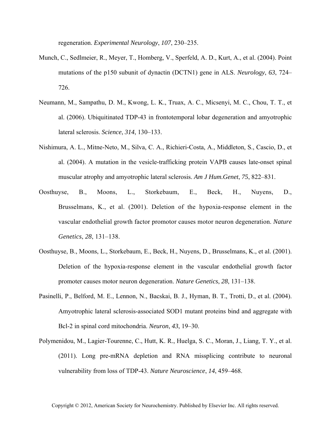regeneration. *Experimental Neurology*, *107*, 230–235.

- Munch, C., Sedlmeier, R., Meyer, T., Homberg, V., Sperfeld, A. D., Kurt, A., et al. (2004). Point mutations of the p150 subunit of dynactin (DCTN1) gene in ALS. *Neurology*, *63*, 724– 726.
- Neumann, M., Sampathu, D. M., Kwong, L. K., Truax, A. C., Micsenyi, M. C., Chou, T. T., et al. (2006). Ubiquitinated TDP-43 in frontotemporal lobar degeneration and amyotrophic lateral sclerosis. *Science*, *314*, 130–133.
- Nishimura, A. L., Mitne-Neto, M., Silva, C. A., Richieri-Costa, A., Middleton, S., Cascio, D., et al. (2004). A mutation in the vesicle-trafficking protein VAPB causes late-onset spinal muscular atrophy and amyotrophic lateral sclerosis. *Am J Hum.Genet*, *75*, 822–831.
- Oosthuyse, B., Moons, L., Storkebaum, E., Beck, H., Nuyens, D., Brusselmans, K., et al. (2001). Deletion of the hypoxia-response element in the vascular endothelial growth factor promotor causes motor neuron degeneration. *Nature Genetics*, *28*, 131–138.
- Oosthuyse, B., Moons, L., Storkebaum, E., Beck, H., Nuyens, D., Brusselmans, K., et al. (2001). Deletion of the hypoxia-response element in the vascular endothelial growth factor promoter causes motor neuron degeneration. *Nature Genetics*, *28*, 131–138.
- Pasinelli, P., Belford, M. E., Lennon, N., Bacskai, B. J., Hyman, B. T., Trotti, D., et al. (2004). Amyotrophic lateral sclerosis-associated SOD1 mutant proteins bind and aggregate with Bcl-2 in spinal cord mitochondria. *Neuron*, *43*, 19–30.
- Polymenidou, M., Lagier-Tourenne, C., Hutt, K. R., Huelga, S. C., Moran, J., Liang, T. Y., et al. (2011). Long pre-mRNA depletion and RNA missplicing contribute to neuronal vulnerability from loss of TDP-43. *Nature Neuroscience*, *14*, 459–468.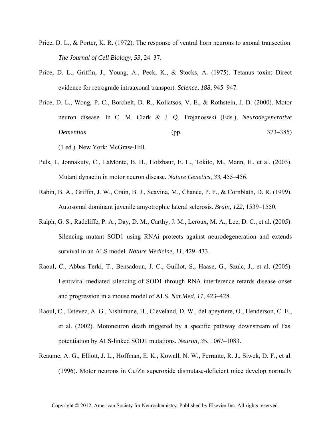- Price, D. L., & Porter, K. R. (1972). The response of ventral horn neurons to axonal transection. *The Journal of Cell Biology*, *53*, 24–37.
- Price, D. L., Griffin, J., Young, A., Peck, K., & Stocks, A. (1975). Tetanus toxin: Direct evidence for retrograde intraaxonal transport. *Science*, *188*, 945–947.
- Price, D. L., Wong, P. C., Borchelt, D. R., Koliatsos, V. E., & Rothstein, J. D. (2000). Motor neuron disease. In C. M. Clark & J. Q. Trojanoswki (Eds.), *Neurodegenerative Dementias* (pp. 373–385)

(1 ed.). New York: McGraw-Hill.

- Puls, I., Jonnakuty, C., LaMonte, B. H., Holzbaur, E. L., Tokito, M., Mann, E., et al. (2003). Mutant dynactin in motor neuron disease. *Nature Genetics*, *33*, 455–456.
- Rabin, B. A., Griffin, J. W., Crain, B. J., Scavina, M., Chance, P. F., & Cornblath, D. R. (1999). Autosomal dominant juvenile amyotrophic lateral sclerosis. *Brain*, *122*, 1539–1550.
- Ralph, G. S., Radcliffe, P. A., Day, D. M., Carthy, J. M., Leroux, M. A., Lee, D. C., et al. (2005). Silencing mutant SOD1 using RNAi protects against neurodegeneration and extends survival in an ALS model. *Nature Medicine*, *11*, 429–433.
- Raoul, C., Abbas-Terki, T., Bensadoun, J. C., Guillot, S., Haase, G., Szulc, J., et al. (2005). Lentiviral-mediated silencing of SOD1 through RNA interference retards disease onset and progression in a mouse model of ALS. *Nat.Med*, *11*, 423–428.
- Raoul, C., Estevez, A. G., Nishimune, H., Cleveland, D. W., deLapeyriere, O., Henderson, C. E., et al. (2002). Motoneuron death triggered by a specific pathway downstream of Fas. potentiation by ALS-linked SOD1 mutations. *Neuron*, *35*, 1067–1083.
- Reaume, A. G., Elliott, J. L., Hoffman, E. K., Kowall, N. W., Ferrante, R. J., Siwek, D. F., et al. (1996). Motor neurons in Cu/Zn superoxide dismutase-deficient mice develop normally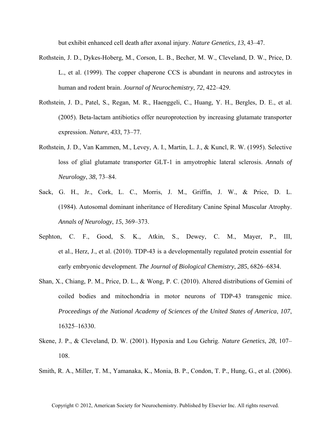but exhibit enhanced cell death after axonal injury. *Nature Genetics*, *13*, 43–47.

- Rothstein, J. D., Dykes-Hoberg, M., Corson, L. B., Becher, M. W., Cleveland, D. W., Price, D. L., et al. (1999). The copper chaperone CCS is abundant in neurons and astrocytes in human and rodent brain. *Journal of Neurochemistry*, *72*, 422–429.
- Rothstein, J. D., Patel, S., Regan, M. R., Haenggeli, C., Huang, Y. H., Bergles, D. E., et al. (2005). Beta-lactam antibiotics offer neuroprotection by increasing glutamate transporter expression. *Nature*, *433*, 73–77.
- Rothstein, J. D., Van Kammen, M., Levey, A. I., Martin, L. J., & Kuncl, R. W. (1995). Selective loss of glial glutamate transporter GLT-1 in amyotrophic lateral sclerosis. *Annals of Neurology*, *38*, 73–84.
- Sack, G. H., Jr., Cork, L. C., Morris, J. M., Griffin, J. W., & Price, D. L. (1984). Autosomal dominant inheritance of Hereditary Canine Spinal Muscular Atrophy. *Annals of Neurology*, *15*, 369–373.
- Sephton, C. F., Good, S. K., Atkin, S., Dewey, C. M., Mayer, P., III, et al., Herz, J., et al. (2010). TDP-43 is a developmentally regulated protein essential for early embryonic development. *The Journal of Biological Chemistry*, *285*, 6826–6834.
- Shan, X., Chiang, P. M., Price, D. L., & Wong, P. C. (2010). Altered distributions of Gemini of coiled bodies and mitochondria in motor neurons of TDP-43 transgenic mice. *Proceedings of the National Academy of Sciences of the United States of America*, *107*, 16325–16330.
- Skene, J. P., & Cleveland, D. W. (2001). Hypoxia and Lou Gehrig. *Nature Genetics*, *28*, 107– 108.

Smith, R. A., Miller, T. M., Yamanaka, K., Monia, B. P., Condon, T. P., Hung, G., et al. (2006).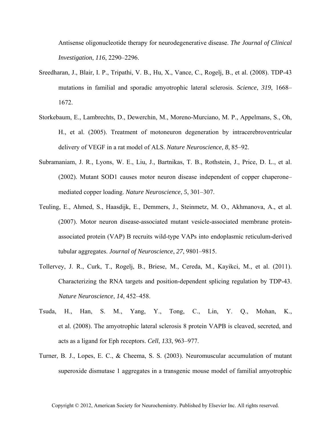Antisense oligonucleotide therapy for neurodegenerative disease. *The Journal of Clinical Investigation*, *116*, 2290–2296.

- Sreedharan, J., Blair, I. P., Tripathi, V. B., Hu, X., Vance, C., Rogelj, B., et al. (2008). TDP-43 mutations in familial and sporadic amyotrophic lateral sclerosis. *Science*, *319*, 1668– 1672.
- Storkebaum, E., Lambrechts, D., Dewerchin, M., Moreno-Murciano, M. P., Appelmans, S., Oh, H., et al. (2005). Treatment of motoneuron degeneration by intracerebroventricular delivery of VEGF in a rat model of ALS. *Nature Neuroscience*, *8*, 85–92.
- Subramaniam, J. R., Lyons, W. E., Liu, J., Bartnikas, T. B., Rothstein, J., Price, D. L., et al. (2002). Mutant SOD1 causes motor neuron disease independent of copper chaperone– mediated copper loading. *Nature Neuroscience*, *5*, 301–307.
- Teuling, E., Ahmed, S., Haasdijk, E., Demmers, J., Steinmetz, M. O., Akhmanova, A., et al. (2007). Motor neuron disease-associated mutant vesicle-associated membrane proteinassociated protein (VAP) B recruits wild-type VAPs into endoplasmic reticulum-derived tubular aggregates. *Journal of Neuroscience*, *27*, 9801–9815.
- Tollervey, J. R., Curk, T., Rogelj, B., Briese, M., Cereda, M., Kayikci, M., et al. (2011). Characterizing the RNA targets and position-dependent splicing regulation by TDP-43. *Nature Neuroscience*, *14*, 452–458.
- Tsuda, H., Han, S. M., Yang, Y., Tong, C., Lin, Y. Q., Mohan, K., et al. (2008). The amyotrophic lateral sclerosis 8 protein VAPB is cleaved, secreted, and acts as a ligand for Eph receptors. *Cell*, *133*, 963–977.
- Turner, B. J., Lopes, E. C., & Cheema, S. S. (2003). Neuromuscular accumulation of mutant superoxide dismutase 1 aggregates in a transgenic mouse model of familial amyotrophic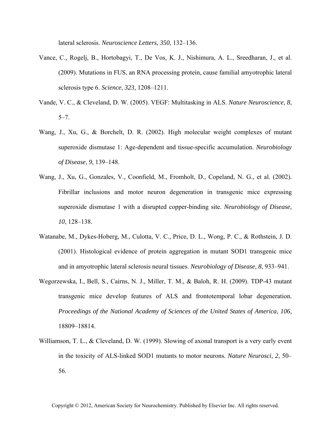lateral sclerosis. *Neuroscience Letters*, *350*, 132–136.

- Vance, C., Rogelj, B., Hortobagyi, T., De Vos, K. J., Nishimura, A. L., Sreedharan, J., et al. (2009). Mutations in FUS, an RNA processing protein, cause familial amyotrophic lateral sclerosis type 6. *Science*, *323*, 1208–1211.
- Vande, V. C., & Cleveland, D. W. (2005). VEGF: Multitasking in ALS. *Nature Neuroscience*, *8*, 5–7.
- Wang, J., Xu, G., & Borchelt, D. R. (2002). High molecular weight complexes of mutant superoxide dismutase 1: Age-dependent and tissue-specific accumulation. *Neurobiology of Disease*, *9*, 139–148.
- Wang, J., Xu, G., Gonzales, V., Coonfield, M., Fromholt, D., Copeland, N. G., et al. (2002). Fibrillar inclusions and motor neuron degeneration in transgenic mice expressing superoxide dismutase 1 with a disrupted copper-binding site. *Neurobiology of Disease*, *10*, 128–138.
- Watanabe, M., Dykes-Hoberg, M., Culotta, V. C., Price, D. L., Wong, P. C., & Rothstein, J. D. (2001). Histological evidence of protein aggregation in mutant SOD1 transgenic mice and in amyotrophic lateral sclerosis neural tissues. *Neurobiology of Disease*, *8*, 933–941.
- Wegorzewska, I., Bell, S., Cairns, N. J., Miller, T. M., & Baloh, R. H. (2009). TDP-43 mutant transgenic mice develop features of ALS and frontotemporal lobar degeneration. *Proceedings of the National Academy of Sciences of the United States of America*, *106*, 18809–18814.
- Williamson, T. L., & Cleveland, D. W. (1999). Slowing of axonal transport is a very early event in the toxicity of ALS-linked SOD1 mutants to motor neurons. *Nature Neurosci*, *2*, 50– 56.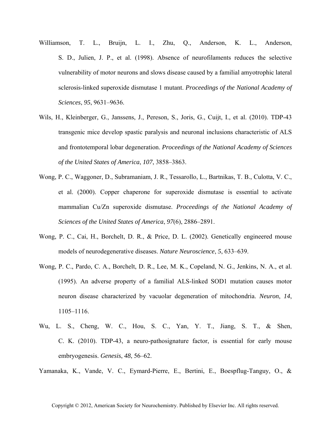- Williamson, T. L., Bruijn, L. I., Zhu, Q., Anderson, K. L., Anderson, S. D., Julien, J. P., et al. (1998). Absence of neurofilaments reduces the selective vulnerability of motor neurons and slows disease caused by a familial amyotrophic lateral sclerosis-linked superoxide dismutase 1 mutant. *Proceedings of the National Academy of Sciences*, *95*, 9631–9636.
- Wils, H., Kleinberger, G., Janssens, J., Pereson, S., Joris, G., Cuijt, I., et al. (2010). TDP-43 transgenic mice develop spastic paralysis and neuronal inclusions characteristic of ALS and frontotemporal lobar degeneration. *Proceedings of the National Academy of Sciences of the United States of America*, *107*, 3858–3863.
- Wong, P. C., Waggoner, D., Subramaniam, J. R., Tessarollo, L., Bartnikas, T. B., Culotta, V. C., et al. (2000). Copper chaperone for superoxide dismutase is essential to activate mammalian Cu/Zn superoxide dismutase. *Proceedings of the National Academy of Sciences of the United States of America*, *97*(6), 2886–2891.
- Wong, P. C., Cai, H., Borchelt, D. R., & Price, D. L. (2002). Genetically engineered mouse models of neurodegenerative diseases. *Nature Neuroscience*, *5*, 633–639.
- Wong, P. C., Pardo, C. A., Borchelt, D. R., Lee, M. K., Copeland, N. G., Jenkins, N. A., et al. (1995). An adverse property of a familial ALS-linked SOD1 mutation causes motor neuron disease characterized by vacuolar degeneration of mitochondria. *Neuron*, *14*, 1105–1116.
- Wu, L. S., Cheng, W. C., Hou, S. C., Yan, Y. T., Jiang, S. T., & Shen, C. K. (2010). TDP-43, a neuro-pathosignature factor, is essential for early mouse embryogenesis. *Genesis*, *48*, 56–62.

Yamanaka, K., Vande, V. C., Eymard-Pierre, E., Bertini, E., Boespflug-Tanguy, O., &